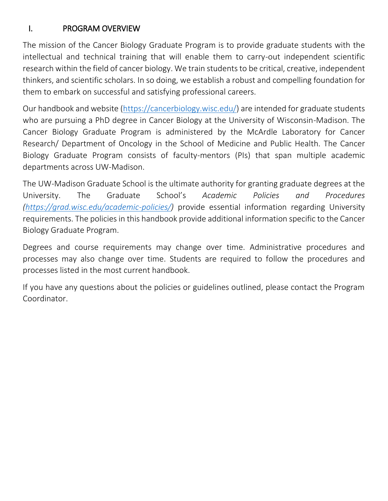# I. PROGRAM OVERVIEW

The mission of the Cancer Biology Graduate Program is to provide graduate students with the intellectual and technical training that will enable them to carry-out independent scientific research within the field of cancer biology. We train students to be critical, creative, independent thinkers, and scientific scholars. In so doing, we establish a robust and compelling foundation for them to embark on successful and satisfying professional careers.

Our handbook and website [\(https://cancerbiology.wisc.edu/\)](https://cancerbiology.wisc.edu/) are intended for graduate students who are pursuing a PhD degree in Cancer Biology at the University of Wisconsin-Madison. The Cancer Biology Graduate Program is administered by the McArdle Laboratory for Cancer Research/ Department of Oncology in the School of Medicine and Public Health. The Cancer Biology Graduate Program consists of faculty-mentors (PIs) that span multiple academic departments across UW-Madison.

The UW-Madison Graduate School is the ultimate authority for granting graduate degrees at the University. The Graduate School's *Academic Policies and Procedures [\(https://grad.wisc.edu/academic-policies/\)](https://grad.wisc.edu/academic-policies/)* provide essential information regarding University requirements. The policies in this handbook provide additional information specific to the Cancer Biology Graduate Program.

Degrees and course requirements may change over time. Administrative procedures and processes may also change over time. Students are required to follow the procedures and processes listed in the most current handbook.

If you have any questions about the policies or guidelines outlined, please contact the Program Coordinator.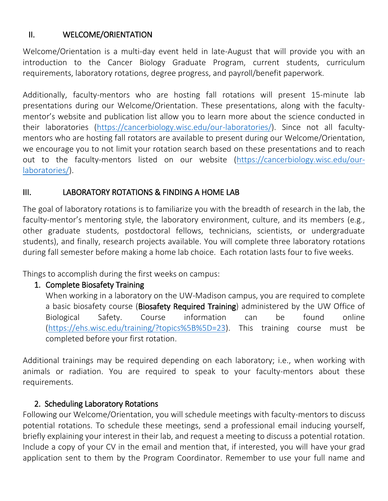# II. WELCOME/ORIENTATION

Welcome/Orientation is a multi-day event held in late-August that will provide you with an introduction to the Cancer Biology Graduate Program, current students, curriculum requirements, laboratory rotations, degree progress, and payroll/benefit paperwork.

Additionally, faculty-mentors who are hosting fall rotations will present 15-minute lab presentations during our Welcome/Orientation. These presentations, along with the facultymentor's website and publication list allow you to learn more about the science conducted in their laboratories [\(https://cancerbiology.wisc.edu/our-laboratories/\)](https://cancerbiology.wisc.edu/our-laboratories/). Since not all facultymentors who are hosting fall rotators are available to present during our Welcome/Orientation, we encourage you to not limit your rotation search based on these presentations and to reach out to the faculty-mentors listed on our website [\(https://cancerbiology.wisc.edu/our](https://cancerbiology.wisc.edu/our-laboratories/)[laboratories/\)](https://cancerbiology.wisc.edu/our-laboratories/).

# III. LABORATORY ROTATIONS & FINDING A HOME LAB

The goal of laboratory rotations is to familiarize you with the breadth of research in the lab, the faculty-mentor's mentoring style, the laboratory environment, culture, and its members (e.g., other graduate students, postdoctoral fellows, technicians, scientists, or undergraduate students), and finally, research projects available. You will complete three laboratory rotations during fall semester before making a home lab choice. Each rotation lasts four to five weeks.

Things to accomplish during the first weeks on campus:

# 1. Complete Biosafety Training

When working in a laboratory on the UW-Madison campus, you are required to complete a basic biosafety course (Biosafety Required Training) administered by the UW Office of Biological Safety. Course information can be found online [\(https://ehs.wisc.edu/training/?topics%5B%5D=23\)](https://ehs.wisc.edu/training/?topics%5B%5D=23). This training course must be completed before your first rotation.

Additional trainings may be required depending on each laboratory; i.e., when working with animals or radiation. You are required to speak to your faculty-mentors about these requirements.

# 2. Scheduling Laboratory Rotations

Following our Welcome/Orientation, you will schedule meetings with faculty-mentors to discuss potential rotations. To schedule these meetings, send a professional email inducing yourself, briefly explaining your interest in their lab, and request a meeting to discuss a potential rotation. Include a copy of your CV in the email and mention that, if interested, you will have your grad application sent to them by the Program Coordinator. Remember to use your full name and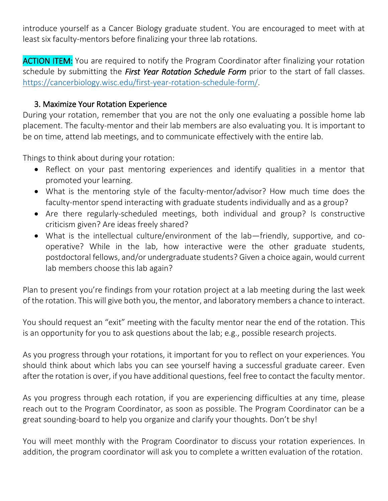introduce yourself as a Cancer Biology graduate student. You are encouraged to meet with at least six faculty-mentors before finalizing your three lab rotations.

**ACTION ITEM:** You are required to notify the Program Coordinator after finalizing your rotation schedule by submitting the *First Year Rotation Schedule Form* prior to the start of fall classes. [https://cancerbiology.wisc.edu/first-year-rotation-schedule-form/.](https://cancerbiology.wisc.edu/first-year-rotation-schedule-form/)

### 3. Maximize Your Rotation Experience

During your rotation, remember that you are not the only one evaluating a possible home lab placement. The faculty-mentor and their lab members are also evaluating you. It is important to be on time, attend lab meetings, and to communicate effectively with the entire lab.

Things to think about during your rotation:

- Reflect on your past mentoring experiences and identify qualities in a mentor that promoted your learning.
- What is the mentoring style of the faculty-mentor/advisor? How much time does the faculty-mentor spend interacting with graduate students individually and as a group?
- Are there regularly-scheduled meetings, both individual and group? Is constructive criticism given? Are ideas freely shared?
- What is the intellectual culture/environment of the lab—friendly, supportive, and cooperative? While in the lab, how interactive were the other graduate students, postdoctoral fellows, and/or undergraduate students? Given a choice again, would current lab members choose this lab again?

Plan to present you're findings from your rotation project at a lab meeting during the last week of the rotation. This will give both you, the mentor, and laboratory members a chance to interact.

You should request an "exit" meeting with the faculty mentor near the end of the rotation. This is an opportunity for you to ask questions about the lab; e.g., possible research projects.

As you progress through your rotations, it important for you to reflect on your experiences. You should think about which labs you can see yourself having a successful graduate career. Even after the rotation is over, if you have additional questions, feel free to contact the faculty mentor.

As you progress through each rotation, if you are experiencing difficulties at any time, please reach out to the Program Coordinator, as soon as possible. The Program Coordinator can be a great sounding-board to help you organize and clarify your thoughts. Don't be shy!

You will meet monthly with the Program Coordinator to discuss your rotation experiences. In addition, the program coordinator will ask you to complete a written evaluation of the rotation.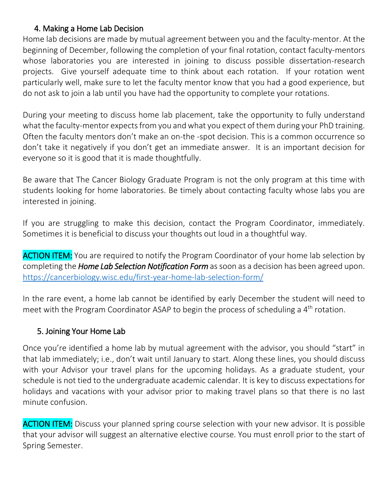### 4. Making a Home Lab Decision

Home lab decisions are made by mutual agreement between you and the faculty-mentor. At the beginning of December, following the completion of your final rotation, contact faculty-mentors whose laboratories you are interested in joining to discuss possible dissertation-research projects. Give yourself adequate time to think about each rotation. If your rotation went particularly well, make sure to let the faculty mentor know that you had a good experience, but do not ask to join a lab until you have had the opportunity to complete your rotations.

During your meeting to discuss home lab placement, take the opportunity to fully understand what the faculty-mentor expects from you and what you expect of them during your PhD training. Often the faculty mentors don't make an on-the -spot decision. This is a common occurrence so don't take it negatively if you don't get an immediate answer. It is an important decision for everyone so it is good that it is made thoughtfully.

Be aware that The Cancer Biology Graduate Program is not the only program at this time with students looking for home laboratories. Be timely about contacting faculty whose labs you are interested in joining.

If you are struggling to make this decision, contact the Program Coordinator, immediately. Sometimes it is beneficial to discuss your thoughts out loud in a thoughtful way.

**ACTION ITEM:** You are required to notify the Program Coordinator of your home lab selection by completing the *Home Lab Selection Notification Form* as soon as a decision has been agreed upon. <https://cancerbiology.wisc.edu/first-year-home-lab-selection-form/>

In the rare event, a home lab cannot be identified by early December the student will need to meet with the Program Coordinator ASAP to begin the process of scheduling a 4<sup>th</sup> rotation.

# 5. Joining Your Home Lab

Once you're identified a home lab by mutual agreement with the advisor, you should "start" in that lab immediately; i.e., don't wait until January to start. Along these lines, you should discuss with your Advisor your travel plans for the upcoming holidays. As a graduate student, your schedule is not tied to the undergraduate academic calendar. It is key to discuss expectations for holidays and vacations with your advisor prior to making travel plans so that there is no last minute confusion.

**ACTION ITEM:** Discuss your planned spring course selection with your new advisor. It is possible that your advisor will suggest an alternative elective course. You must enroll prior to the start of Spring Semester.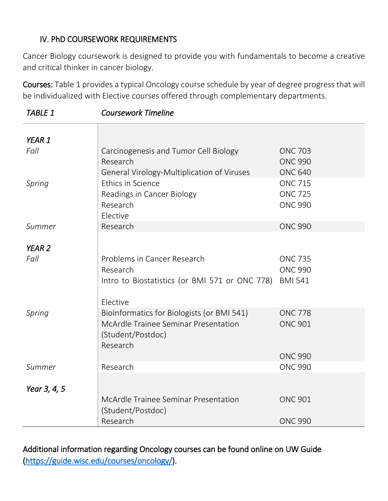# IV. PhD COURSEWORK REQUIREMENTS

Cancer Biology coursework is designed to provide you with fundamentals to become a creative and critical thinker in cancer biology.

Courses: Table 1 provides a typical Oncology course schedule by year of degree progress that will be individualized with Elective courses offered through complementary departments.

| YEAR 1            |                                                |                |
|-------------------|------------------------------------------------|----------------|
| Fall              | Carcinogenesis and Tumor Cell Biology          | <b>ONC 703</b> |
|                   | Research                                       | <b>ONC 990</b> |
|                   | General Virology-Multiplication of Viruses     | <b>ONC 640</b> |
| Spring            | Ethics in Science                              | <b>ONC 715</b> |
|                   | Readings in Cancer Biology                     | <b>ONC 725</b> |
|                   | Research                                       | <b>ONC 990</b> |
|                   | Elective                                       |                |
| Summer            | Research                                       | <b>ONC 990</b> |
|                   |                                                |                |
| YEAR <sub>2</sub> |                                                |                |
| Fall              | Problems in Cancer Research                    | <b>ONC 735</b> |
|                   | Research                                       | <b>ONC 990</b> |
|                   | Intro to Biostatistics (or BMI 571 or ONC 778) | <b>BMI 541</b> |
|                   |                                                |                |
|                   | Elective                                       |                |
| Spring            | BioInformatics for Biologists (or BMI 541)     | <b>ONC 778</b> |
|                   | McArdle Trainee Seminar Presentation           | <b>ONC 901</b> |
|                   | (Student/Postdoc)                              |                |
|                   | Research                                       |                |
|                   |                                                | <b>ONC 990</b> |
| Summer            | Research                                       | <b>ONC 990</b> |
| Year 3, 4, 5      |                                                |                |
|                   | McArdle Trainee Seminar Presentation           | <b>ONC 901</b> |
|                   | (Student/Postdoc)                              |                |
|                   | Research                                       | <b>ONC 990</b> |
|                   |                                                |                |

*TABLE 1 Coursework Timeline* 

Additional information regarding Oncology courses can be found online on UW Guide [\(https://guide.wisc.edu/courses/oncology/\)](https://guide.wisc.edu/courses/oncology/).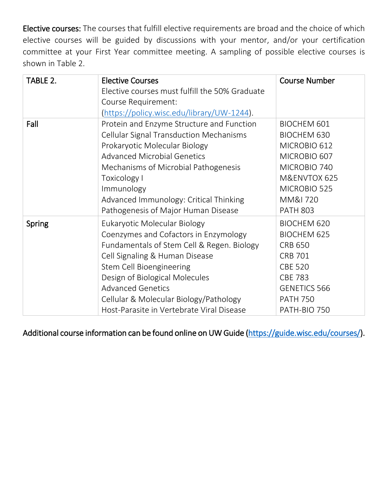Elective courses: The courses that fulfill elective requirements are broad and the choice of which elective courses will be guided by discussions with your mentor, and/or your certification committee at your First Year committee meeting. A sampling of possible elective courses is shown in Table 2.

| TABLE 2. | <b>Elective Courses</b>                        | <b>Course Number</b> |
|----------|------------------------------------------------|----------------------|
|          | Elective courses must fulfill the 50% Graduate |                      |
|          | Course Requirement:                            |                      |
|          | (https://policy.wisc.edu/library/UW-1244).     |                      |
| Fall     | Protein and Enzyme Structure and Function      | <b>BIOCHEM 601</b>   |
|          | <b>Cellular Signal Transduction Mechanisms</b> | <b>BIOCHEM 630</b>   |
|          | Prokaryotic Molecular Biology                  | MICROBIO 612         |
|          | <b>Advanced Microbial Genetics</b>             | MICROBIO 607         |
|          | Mechanisms of Microbial Pathogenesis           | MICROBIO 740         |
|          | Toxicology I                                   | M&ENVTOX 625         |
|          | Immunology                                     | MICROBIO 525         |
|          | Advanced Immunology: Critical Thinking         | MM&I 720             |
|          | Pathogenesis of Major Human Disease            | <b>PATH 803</b>      |
| Spring   | Eukaryotic Molecular Biology                   | <b>BIOCHEM 620</b>   |
|          | Coenzymes and Cofactors in Enzymology          | <b>BIOCHEM 625</b>   |
|          | Fundamentals of Stem Cell & Regen. Biology     | <b>CRB 650</b>       |
|          | Cell Signaling & Human Disease                 | <b>CRB 701</b>       |
|          | Stem Cell Bioengineering                       | <b>CBE 520</b>       |
|          | Design of Biological Molecules                 | <b>CBE 783</b>       |
|          | <b>Advanced Genetics</b>                       | <b>GENETICS 566</b>  |
|          | Cellular & Molecular Biology/Pathology         | <b>PATH 750</b>      |
|          | Host-Parasite in Vertebrate Viral Disease      | PATH-BIO 750         |

Additional course information can be found online on UW Guide [\(https://guide.wisc.edu/courses/\)](https://guide.wisc.edu/courses/).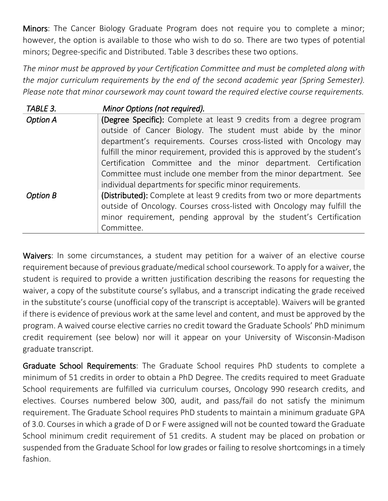Minors: The Cancer Biology Graduate Program does not require you to complete a minor; however, the option is available to those who wish to do so. There are two types of potential minors; Degree-specific and Distributed. Table 3 describes these two options.

*The minor must be approved by your Certification Committee and must be completed along with the major curriculum requirements by the end of the second academic year (Spring Semester). Please note that minor coursework may count toward the required elective course requirements.*

| TABLE 3.        | Minor Options (not required).                                             |
|-----------------|---------------------------------------------------------------------------|
| <b>Option A</b> | (Degree Specific): Complete at least 9 credits from a degree program      |
|                 | outside of Cancer Biology. The student must abide by the minor            |
|                 | department's requirements. Courses cross-listed with Oncology may         |
|                 | fulfill the minor requirement, provided this is approved by the student's |
|                 | Certification Committee and the minor department. Certification           |
|                 | Committee must include one member from the minor department. See          |
|                 | individual departments for specific minor requirements.                   |
| <b>Option B</b> | (Distributed): Complete at least 9 credits from two or more departments   |
|                 | outside of Oncology. Courses cross-listed with Oncology may fulfill the   |
|                 | minor requirement, pending approval by the student's Certification        |
|                 | Committee.                                                                |

Waivers: In some circumstances, a student may petition for a waiver of an elective course requirement because of previous graduate/medical school coursework. To apply for a waiver, the student is required to provide a written justification describing the reasons for requesting the waiver, a copy of the substitute course's syllabus, and a transcript indicating the grade received in the substitute's course (unofficial copy of the transcript is acceptable). Waivers will be granted if there is evidence of previous work at the same level and content, and must be approved by the program. A waived course elective carries no credit toward the Graduate Schools' PhD minimum credit requirement (see below) nor will it appear on your University of Wisconsin-Madison graduate transcript.

Graduate School Requirements: The Graduate School requires PhD students to complete a minimum of 51 credits in order to obtain a PhD Degree. The credits required to meet Graduate School requirements are fulfilled via curriculum courses, Oncology 990 research credits, and electives. Courses numbered below 300, audit, and pass/fail do not satisfy the minimum requirement. The Graduate School requires PhD students to maintain a minimum graduate GPA of 3.0. Courses in which a grade of D or F were assigned will not be counted toward the Graduate School minimum credit requirement of 51 credits. A student may be placed on probation or suspended from the Graduate School for low grades or failing to resolve shortcomings in a timely fashion.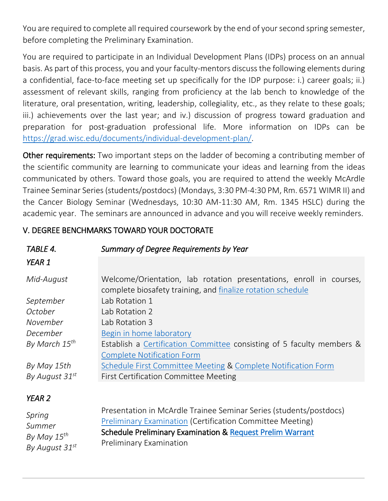You are required to complete all required coursework by the end of your second spring semester, before completing the Preliminary Examination.

You are required to participate in an Individual Development Plans (IDPs) process on an annual basis. As part of this process, you and your faculty-mentors discuss the following elements during a confidential, face-to-face meeting set up specifically for the IDP purpose: i.) career goals; ii.) assessment of relevant skills, ranging from proficiency at the lab bench to knowledge of the literature, oral presentation, writing, leadership, collegiality, etc., as they relate to these goals; iii.) achievements over the last year; and iv.) discussion of progress toward graduation and preparation for post-graduation professional life. More information on IDPs can be [https://grad.wisc.edu/documents/individual-development-plan/.](https://grad.wisc.edu/documents/individual-development-plan/)

Other requirements: Two important steps on the ladder of becoming a contributing member of the scientific community are learning to communicate your ideas and learning from the ideas communicated by others. Toward those goals, you are required to attend the weekly McArdle Trainee Seminar Series (students/postdocs) (Mondays, 3:30 PM-4:30 PM, Rm. 6571 WIMR II) and the Cancer Biology Seminar (Wednesdays, 10:30 AM-11:30 AM, Rm. 1345 HSLC) during the academic year. The seminars are announced in advance and you will receive weekly reminders.

#### *TABLE 4. Summary of Degree Requirements by Year YEAR 1 Mid-August September October November December By March 15th By May 15th By August 31st* Welcome/Orientation, lab rotation presentations, enroll in courses, complete biosafety training, and [finalize rotation schedule](https://cancerbiology.wisc.edu/first-year-rotation-schedule-form/)  Lab Rotation 1 Lab Rotation 2 Lab Rotation 3 [Begin in home laboratory](https://cancerbiology.wisc.edu/first-year-home-lab-selection-form/) Establish a [Certification Committee](https://cancerbiology.wisc.edu/certification-committee/) consisting of 5 faculty members & [Complete Notification Form](https://cancerbiology.wisc.edu/first-year-certification-committee-form/) [Schedule First Committee Meeting](https://cancerbiology.wisc.edu/first-committee-meeting/) & [Complete Notification Form](https://cancerbiology.wisc.edu/annual-committee-notification-form/) First Certification Committee Meeting *YEAR 2*  Presentation in McArdle Trainee Seminar Series (students/postdocs)

# V. DEGREE BENCHMARKS TOWARD YOUR DOCTORATE

| Spring                   | Presentation in McArdle Trainee Seminar Series (students/postdocs) |
|--------------------------|--------------------------------------------------------------------|
| Summer                   | Preliminary Examination (Certification Committee Meeting)          |
| By May 15 <sup>th</sup>  | Schedule Preliminary Examination & Request Prelim Warrant          |
| By August 31 $^{\rm st}$ | <b>Preliminary Examination</b>                                     |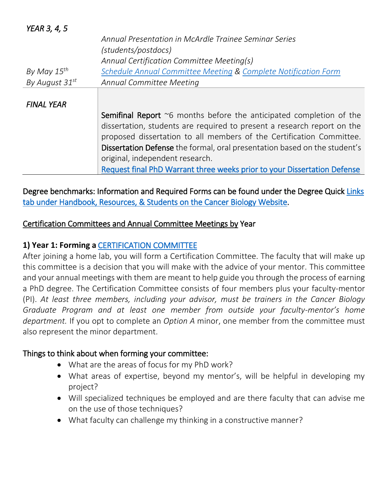| <b>YEAR 3, 4, 5</b> |                                                                                    |
|---------------------|------------------------------------------------------------------------------------|
|                     | Annual Presentation in McArdle Trainee Seminar Series                              |
|                     | (students/postdocs)                                                                |
|                     | Annual Certification Committee Meeting(s)                                          |
| By May $15^{th}$    | Schedule Annual Committee Meeting & Complete Notification Form                     |
| By August 31st      | Annual Committee Meeting                                                           |
|                     |                                                                                    |
| <b>FINAL YEAR</b>   |                                                                                    |
|                     | <b>Semifinal Report</b> $\infty$ 6 months before the anticipated completion of the |
|                     | dissertation, students are required to present a research report on the            |
|                     | proposed dissertation to all members of the Certification Committee.               |
|                     | Dissertation Defense the formal, oral presentation based on the student's          |
|                     | original, independent research.                                                    |
|                     | Request final PhD Warrant three weeks prior to your Dissertation Defense           |

Degree benchmarks: Information and Required Forms can be found under the Degree Quick [Links](https://cancerbiology.wisc.edu/current-student-resources/)  [tab under Handbook, Resources, & Students on the Cancer Biology Website.](https://cancerbiology.wisc.edu/current-student-resources/)

### Certification Committees and Annual Committee Meetings by Year

### **1) Year 1: Forming a** [CERTIFICATION COMMITTEE](https://cancerbiology.wisc.edu/certification-committee/)

After joining a home lab, you will form a Certification Committee. The faculty that will make up this committee is a decision that you will make with the advice of your mentor. This committee and your annual meetings with them are meant to help guide you through the process of earning a PhD degree. The Certification Committee consists of four members plus your faculty-mentor (PI). *At least three members, including your advisor, must be trainers in the Cancer Biology Graduate Program and at least one member from outside your faculty-mentor's home department.* If you opt to complete an *Option A* minor, one member from the committee must also represent the minor department.

#### Things to think about when forming your committee:

- What are the areas of focus for my PhD work?
- What areas of expertise, beyond my mentor's, will be helpful in developing my project?
- Will specialized techniques be employed and are there faculty that can advise me on the use of those techniques?
- What faculty can challenge my thinking in a constructive manner?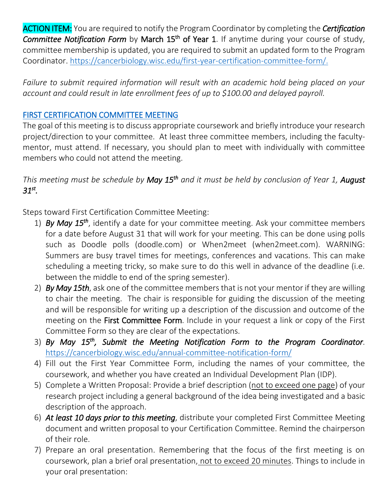ACTION ITEM: You are required to notify the Program Coordinator by completing the *Certification*  Committee Notification Form by March 15<sup>th</sup> of Year 1. If anytime during your course of study, committee membership is updated, you are required to submit an updated form to the Program Coordinator. [https://cancerbiology.wisc.edu/first-year-certification-committee-form/.](https://cancerbiology.wisc.edu/first-year-certification-committee-form/)

*Failure to submit required information will result with an academic hold being placed on your account and could result in late enrollment fees of up to \$100.00 and delayed payroll.* 

### [FIRST CERTIFICATION COMMITTEE MEETING](https://cancerbiology.wisc.edu/first-committee-meeting/)

The goal of this meeting is to discuss appropriate coursework and briefly introduce your research project/direction to your committee. At least three committee members, including the facultymentor, must attend. If necessary, you should plan to meet with individually with committee members who could not attend the meeting.

*This meeting must be schedule by May 15th and it must be held by conclusion of Year 1, August 31st .* 

Steps toward First Certification Committee Meeting:

- 1) *By May 15th* , identify a date for your committee meeting. Ask your committee members for a date before August 31 that will work for your meeting. This can be done using polls such as Doodle polls (doodle.com) or When2meet (when2meet.com). WARNING: Summers are busy travel times for meetings, conferences and vacations. This can make scheduling a meeting tricky, so make sure to do this well in advance of the deadline (i.e. between the middle to end of the spring semester).
- 2) *By May 15th*, ask one of the committee members that is not your mentor if they are willing to chair the meeting. The chair is responsible for guiding the discussion of the meeting and will be responsible for writing up a description of the discussion and outcome of the meeting on the First Committee Form. Include in your request a link or copy of the First Committee Form so they are clear of the expectations.
- 3) *By May 15th, Submit the Meeting Notification Form to the Program Coordinator*. <https://cancerbiology.wisc.edu/annual-committee-notification-form/>
- 4) Fill out the First Year Committee Form, including the names of your committee, the coursework, and whether you have created an Individual Development Plan (IDP).
- 5) Complete a Written Proposal: Provide a brief description (not to exceed one page) of your research project including a general background of the idea being investigated and a basic description of the approach.
- 6) *At least 10 days prior to this meeting*, distribute your completed First Committee Meeting document and written proposal to your Certification Committee. Remind the chairperson of their role.
- 7) Prepare an oral presentation. Remembering that the focus of the first meeting is on coursework, plan a brief oral presentation, not to exceed 20 minutes. Things to include in your oral presentation: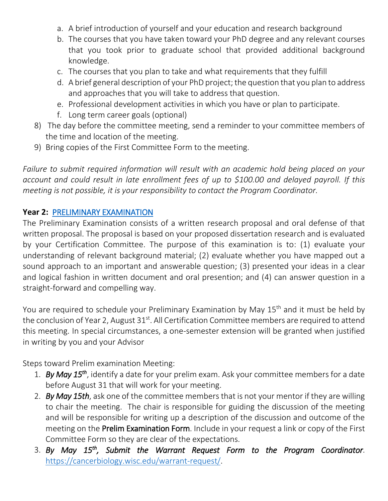- a. A brief introduction of yourself and your education and research background
- b. The courses that you have taken toward your PhD degree and any relevant courses that you took prior to graduate school that provided additional background knowledge.
- c. The courses that you plan to take and what requirements that they fulfill
- d. A brief general description of your PhD project; the question that you plan to address and approaches that you will take to address that question.
- e. Professional development activities in which you have or plan to participate.
- f. Long term career goals (optional)
- 8) The day before the committee meeting, send a reminder to your committee members of the time and location of the meeting.
- 9) Bring copies of the First Committee Form to the meeting.

*Failure to submit required information will result with an academic hold being placed on your account and could result in late enrollment fees of up to \$100.00 and delayed payroll. If this meeting is not possible, it is your responsibility to contact the Program Coordinator.*

### **Year 2:** [PRELIMINARY EXAMINATION](https://cancerbiology.wisc.edu/preliminary-examination/)

The Preliminary Examination consists of a written research proposal and oral defense of that written proposal. The proposal is based on your proposed dissertation research and is evaluated by your Certification Committee. The purpose of this examination is to: (1) evaluate your understanding of relevant background material; (2) evaluate whether you have mapped out a sound approach to an important and answerable question; (3) presented your ideas in a clear and logical fashion in written document and oral presention; and (4) can answer question in a straight-forward and compelling way.

You are required to schedule your Preliminary Examination by May 15<sup>th</sup> and it must be held by the conclusion of Year 2, August 31<sup>st</sup>. All Certification Committee members are required to attend this meeting. In special circumstances, a one-semester extension will be granted when justified in writing by you and your Advisor

Steps toward Prelim examination Meeting:

- 1. *By May 15th*, identify a date for your prelim exam. Ask your committee members for a date before August 31 that will work for your meeting.
- 2. *By May 15th*, ask one of the committee members that is not your mentor if they are willing to chair the meeting. The chair is responsible for guiding the discussion of the meeting and will be responsible for writing up a description of the discussion and outcome of the meeting on the Prelim Examination Form. Include in your request a link or copy of the First Committee Form so they are clear of the expectations.
- 3. *By May 15th, Submit the Warrant Request Form to the Program Coordinator*. [https://cancerbiology.wisc.edu/warrant-request/.](https://cancerbiology.wisc.edu/warrant-request/)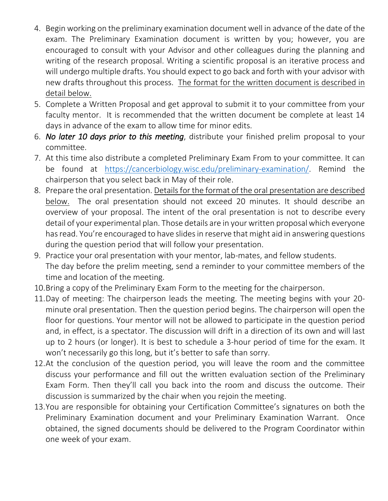- 4. Begin working on the preliminary examination document well in advance of the date of the exam. The Preliminary Examination document is written by you; however, you are encouraged to consult with your Advisor and other colleagues during the planning and writing of the research proposal. Writing a scientific proposal is an iterative process and will undergo multiple drafts. You should expect to go back and forth with your advisor with new drafts throughout this process. The format for the written document is described in detail below.
- 5. Complete a Written Proposal and get approval to submit it to your committee from your faculty mentor. It is recommended that the written document be complete at least 14 days in advance of the exam to allow time for minor edits.
- 6. *No later 10 days prior to this meeting*, distribute your finished prelim proposal to your committee.
- 7. At this time also distribute a completed Preliminary Exam From to your committee. It can be found at [https://cancerbiology.wisc.edu/preliminary-examination/.](https://cancerbiology.wisc.edu/preliminary-examination/) Remind the chairperson that you select back in May of their role.
- 8. Prepare the oral presentation. Details for the format of the oral presentation are described below. The oral presentation should not exceed 20 minutes. It should describe an overview of your proposal. The intent of the oral presentation is not to describe every detail of your experimental plan. Those details are in your written proposal which everyone has read. You're encouraged to have slides in reserve that might aid in answering questions during the question period that will follow your presentation.
- 9. Practice your oral presentation with your mentor, lab-mates, and fellow students. The day before the prelim meeting, send a reminder to your committee members of the time and location of the meeting.
- 10.Bring a copy of the Preliminary Exam Form to the meeting for the chairperson.
- 11.Day of meeting: The chairperson leads the meeting. The meeting begins with your 20 minute oral presentation. Then the question period begins. The chairperson will open the floor for questions. Your mentor will not be allowed to participate in the question period and, in effect, is a spectator. The discussion will drift in a direction of its own and will last up to 2 hours (or longer). It is best to schedule a 3-hour period of time for the exam. It won't necessarily go this long, but it's better to safe than sorry.
- 12.At the conclusion of the question period, you will leave the room and the committee discuss your performance and fill out the written evaluation section of the Preliminary Exam Form. Then they'll call you back into the room and discuss the outcome. Their discussion is summarized by the chair when you rejoin the meeting.
- 13.You are responsible for obtaining your Certification Committee's signatures on both the Preliminary Examination document and your Preliminary Examination Warrant. Once obtained, the signed documents should be delivered to the Program Coordinator within one week of your exam.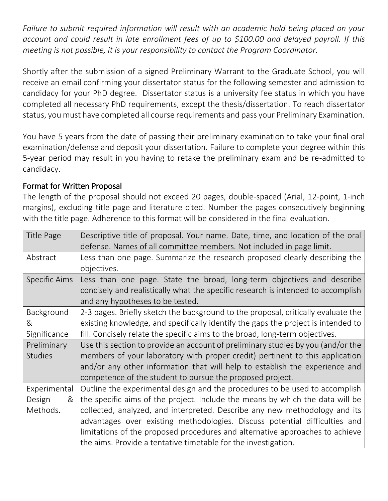*Failure to submit required information will result with an academic hold being placed on your account and could result in late enrollment fees of up to \$100.00 and delayed payroll. If this meeting is not possible, it is your responsibility to contact the Program Coordinator.*

Shortly after the submission of a signed Preliminary Warrant to the Graduate School, you will receive an email confirming your dissertator status for the following semester and admission to candidacy for your PhD degree. Dissertator status is a university fee status in which you have completed all necessary PhD requirements, except the thesis/dissertation. To reach dissertator status, you must have completed all course requirements and pass your Preliminary Examination.

You have 5 years from the date of passing their preliminary examination to take your final oral examination/defense and deposit your dissertation. Failure to complete your degree within this 5-year period may result in you having to retake the preliminary exam and be re-admitted to candidacy.

### Format for Written Proposal

The length of the proposal should not exceed 20 pages, double-spaced (Arial, 12-point, 1-inch margins), excluding title page and literature cited. Number the pages consecutively beginning with the title page. Adherence to this format will be considered in the final evaluation.

| Title Page      | Descriptive title of proposal. Your name. Date, time, and location of the oral<br>defense. Names of all committee members. Not included in page limit.                                         |
|-----------------|------------------------------------------------------------------------------------------------------------------------------------------------------------------------------------------------|
| Abstract        | Less than one page. Summarize the research proposed clearly describing the<br>objectives.                                                                                                      |
| Specific Aims   | Less than one page. State the broad, long-term objectives and describe<br>concisely and realistically what the specific research is intended to accomplish<br>and any hypotheses to be tested. |
| Background<br>& | 2-3 pages. Briefly sketch the background to the proposal, critically evaluate the<br>existing knowledge, and specifically identify the gaps the project is intended to                         |
| Significance    | fill. Concisely relate the specific aims to the broad, long-term objectives.                                                                                                                   |
| Preliminary     | Use this section to provide an account of preliminary studies by you (and/or the                                                                                                               |
| <b>Studies</b>  | members of your laboratory with proper credit) pertinent to this application                                                                                                                   |
|                 | and/or any other information that will help to establish the experience and                                                                                                                    |
|                 | competence of the student to pursue the proposed project.                                                                                                                                      |
| Experimental    | Outline the experimental design and the procedures to be used to accomplish                                                                                                                    |
| Design<br>&     | the specific aims of the project. Include the means by which the data will be                                                                                                                  |
| Methods.        | collected, analyzed, and interpreted. Describe any new methodology and its                                                                                                                     |
|                 | advantages over existing methodologies. Discuss potential difficulties and                                                                                                                     |
|                 | limitations of the proposed procedures and alternative approaches to achieve                                                                                                                   |
|                 | the aims. Provide a tentative timetable for the investigation.                                                                                                                                 |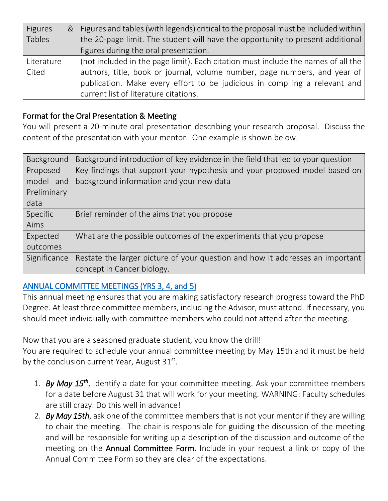| <b>Figures</b> | &   Figures and tables (with legends) critical to the proposal must be included within |
|----------------|----------------------------------------------------------------------------------------|
| Tables         | the 20-page limit. The student will have the opportunity to present additional         |
|                | figures during the oral presentation.                                                  |
| Literature     | (not included in the page limit). Each citation must include the names of all the      |
| Cited          | authors, title, book or journal, volume number, page numbers, and year of              |
|                | publication. Make every effort to be judicious in compiling a relevant and             |
|                | current list of literature citations.                                                  |

### Format for the Oral Presentation & Meeting

You will present a 20-minute oral presentation describing your research proposal. Discuss the content of the presentation with your mentor. One example is shown below.

| Background   | Background introduction of key evidence in the field that led to your question |
|--------------|--------------------------------------------------------------------------------|
| Proposed     | Key findings that support your hypothesis and your proposed model based on     |
| model and    | background information and your new data                                       |
| Preliminary  |                                                                                |
| data         |                                                                                |
| Specific     | Brief reminder of the aims that you propose                                    |
| Aims         |                                                                                |
| Expected     | What are the possible outcomes of the experiments that you propose             |
| outcomes     |                                                                                |
| Significance | Restate the larger picture of your question and how it addresses an important  |
|              | concept in Cancer biology.                                                     |

### [ANNUAL COMMITTEE MEETINGS \(YRS 3, 4, and 5\)](https://cancerbiology.wisc.edu/annual-committee-meetings/)

This annual meeting ensures that you are making satisfactory research progress toward the PhD Degree. At least three committee members, including the Advisor, must attend. If necessary, you should meet individually with committee members who could not attend after the meeting.

Now that you are a seasoned graduate student, you know the drill! You are required to schedule your annual committee meeting by May 15th and it must be held by the conclusion current Year, August  $31^{st}$ .

- 1. *By May 15th*, Identify a date for your committee meeting. Ask your committee members for a date before August 31 that will work for your meeting. WARNING: Faculty schedules are still crazy. Do this well in advance!
- 2. *By May 15th*, ask one of the committee members that is not your mentor if they are willing to chair the meeting. The chair is responsible for guiding the discussion of the meeting and will be responsible for writing up a description of the discussion and outcome of the meeting on the Annual Committee Form. Include in your request a link or copy of the Annual Committee Form so they are clear of the expectations.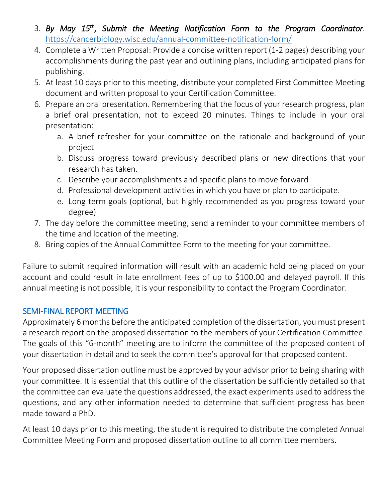- 3. *By May 15th, Submit the Meeting Notification Form to the Program Coordinator*. <https://cancerbiology.wisc.edu/annual-committee-notification-form/>
- 4. Complete a Written Proposal: Provide a concise written report (1-2 pages) describing your accomplishments during the past year and outlining plans, including anticipated plans for publishing.
- 5. At least 10 days prior to this meeting, distribute your completed First Committee Meeting document and written proposal to your Certification Committee.
- 6. Prepare an oral presentation. Remembering that the focus of your research progress, plan a brief oral presentation, not to exceed 20 minutes. Things to include in your oral presentation:
	- a. A brief refresher for your committee on the rationale and background of your project
	- b. Discuss progress toward previously described plans or new directions that your research has taken.
	- c. Describe your accomplishments and specific plans to move forward
	- d. Professional development activities in which you have or plan to participate.
	- e. Long term goals (optional, but highly recommended as you progress toward your degree)
- 7. The day before the committee meeting, send a reminder to your committee members of the time and location of the meeting.
- 8. Bring copies of the Annual Committee Form to the meeting for your committee.

Failure to submit required information will result with an academic hold being placed on your account and could result in late enrollment fees of up to \$100.00 and delayed payroll. If this annual meeting is not possible, it is your responsibility to contact the Program Coordinator.

### [SEMI-FINAL REPORT MEETING](https://cancerbiology.wisc.edu/semi-final-report-meeting/)

Approximately 6 months before the anticipated completion of the dissertation, you must present a research report on the proposed dissertation to the members of your Certification Committee. The goals of this "6-month" meeting are to inform the committee of the proposed content of your dissertation in detail and to seek the committee's approval for that proposed content.

Your proposed dissertation outline must be approved by your advisor prior to being sharing with your committee. It is essential that this outline of the dissertation be sufficiently detailed so that the committee can evaluate the questions addressed, the exact experiments used to address the questions, and any other information needed to determine that sufficient progress has been made toward a PhD.

At least 10 days prior to this meeting, the student is required to distribute the completed Annual Committee Meeting Form and proposed dissertation outline to all committee members.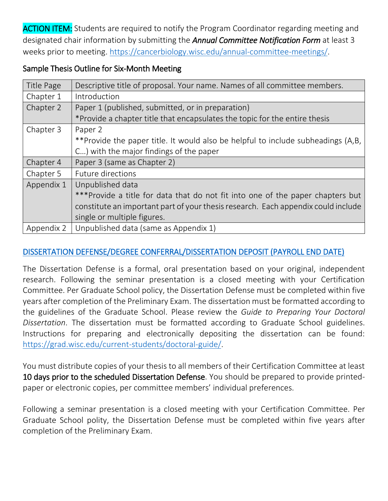**ACTION ITEM:** Students are required to notify the Program Coordinator regarding meeting and designated chair information by submitting the *Annual Committee Notification Form* at least 3 weeks prior to meeting. [https://cancerbiology.wisc.edu/annual-committee-meetings/.](https://cancerbiology.wisc.edu/annual-committee-meetings/)

### Sample Thesis Outline for Six-Month Meeting

| Title Page | Descriptive title of proposal. Your name. Names of all committee members.         |
|------------|-----------------------------------------------------------------------------------|
| Chapter 1  | Introduction                                                                      |
| Chapter 2  | Paper 1 (published, submitted, or in preparation)                                 |
|            | *Provide a chapter title that encapsulates the topic for the entire thesis        |
| Chapter 3  | Paper 2                                                                           |
|            | **Provide the paper title. It would also be helpful to include subheadings (A,B,  |
|            | C) with the major findings of the paper                                           |
|            |                                                                                   |
| Chapter 4  | Paper 3 (same as Chapter 2)                                                       |
| Chapter 5  | Future directions                                                                 |
| Appendix 1 | Unpublished data                                                                  |
|            | ***Provide a title for data that do not fit into one of the paper chapters but    |
|            | constitute an important part of your thesis research. Each appendix could include |
|            | single or multiple figures.                                                       |

# [DISSERTATION DEFENSE/DEGREE CONFERRAL/DISSERTATION DEPOSIT \(PAYROLL END DATE\)](https://cancerbiology.wisc.edu/dissertation-defense/)

The Dissertation Defense is a formal, oral presentation based on your original, independent research. Following the seminar presentation is a closed meeting with your Certification Committee. Per Graduate School policy, the Dissertation Defense must be completed within five years after completion of the Preliminary Exam. The dissertation must be formatted according to the guidelines of the Graduate School. Please review the *Guide to Preparing Your Doctoral Dissertation*. The dissertation must be formatted according to Graduate School guidelines. Instructions for preparing and electronically depositing the dissertation can be found: [https://grad.wisc.edu/current-students/doctoral-guide/.](https://grad.wisc.edu/current-students/doctoral-guide/)

You must distribute copies of your thesis to all members of their Certification Committee at least 10 days prior to the scheduled Dissertation Defense. You should be prepared to provide printedpaper or electronic copies, per committee members' individual preferences.

Following a seminar presentation is a closed meeting with your Certification Committee. Per Graduate School polity, the Dissertation Defense must be completed within five years after completion of the Preliminary Exam.